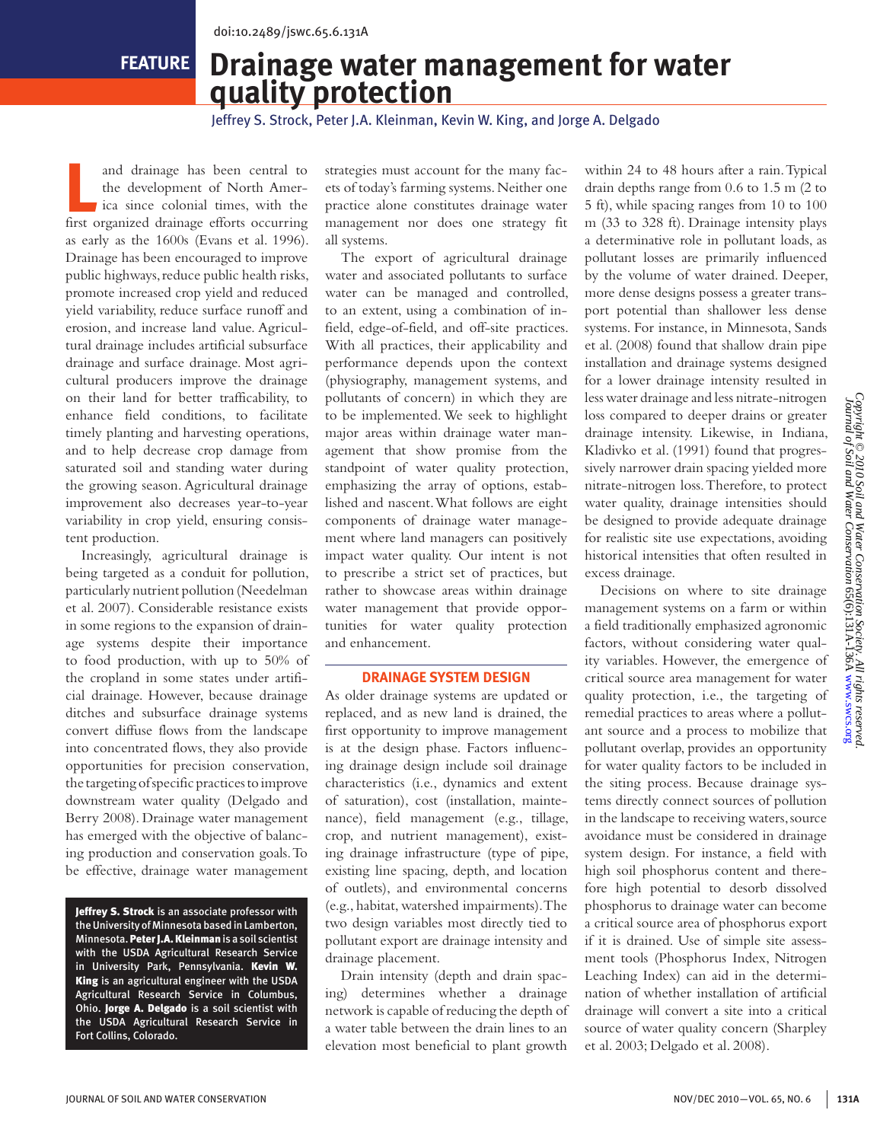doi:10.2489/jswc.65.6.131A

## **feature**

# **Drainage water management for water quality protection**

Jeffrey S. Strock, Peter J.A. Kleinman, Kevin W. King, and Jorge A. Delgado

and drainage has been central to<br>the development of North Amer-<br>ica since colonial times, with the the development of North Amerfirst organized drainage efforts occurring as early as the 1600s (Evans et al. 1996). Drainage has been encouraged to improve public highways, reduce public health risks, promote increased crop yield and reduced yield variability, reduce surface runoff and erosion, and increase land value. Agricultural drainage includes artificial subsurface drainage and surface drainage. Most agricultural producers improve the drainage on their land for better trafficability, to enhance field conditions, to facilitate timely planting and harvesting operations, and to help decrease crop damage from saturated soil and standing water during the growing season. Agricultural drainage improvement also decreases year-to-year variability in crop yield, ensuring consistent production.

Increasingly, agricultural drainage is being targeted as a conduit for pollution, particularly nutrient pollution (Needelman et al. 2007). Considerable resistance exists in some regions to the expansion of drainage systems despite their importance to food production, with up to 50% of the cropland in some states under artificial drainage. However, because drainage ditches and subsurface drainage systems convert diffuse flows from the landscape into concentrated flows, they also provide opportunities for precision conservation, the targeting of specific practices to improve downstream water quality (Delgado and Berry 2008). Drainage water management has emerged with the objective of balancing production and conservation goals. To be effective, drainage water management

Jeffrey S. Strock is an associate professor with the University of Minnesota based in Lamberton, Minnesota. Peter J.A. Kleinman is a soil scientist with the USDA Agricultural Research Service in University Park, Pennsylvania. Kevin W. King is an agricultural engineer with the USDA Agricultural Research Service in Columbus, Ohio. Jorge A. Delgado is a soil scientist with the USDA Agricultural Research Service in Fort Collins, Colorado.

strategies must account for the many facets of today's farming systems. Neither one practice alone constitutes drainage water management nor does one strategy fit all systems.

The export of agricultural drainage water and associated pollutants to surface water can be managed and controlled, to an extent, using a combination of infield, edge-of-field, and off-site practices. With all practices, their applicability and performance depends upon the context (physiography, management systems, and pollutants of concern) in which they are to be implemented. We seek to highlight major areas within drainage water management that show promise from the standpoint of water quality protection, emphasizing the array of options, established and nascent. What follows are eight components of drainage water management where land managers can positively impact water quality. Our intent is not to prescribe a strict set of practices, but rather to showcase areas within drainage water management that provide opportunities for water quality protection and enhancement.

## **Drainage system design**

As older drainage systems are updated or replaced, and as new land is drained, the first opportunity to improve management is at the design phase. Factors influencing drainage design include soil drainage characteristics (i.e., dynamics and extent of saturation), cost (installation, maintenance), field management (e.g., tillage, crop, and nutrient management), existing drainage infrastructure (type of pipe, existing line spacing, depth, and location of outlets), and environmental concerns (e.g., habitat, watershed impairments). The two design variables most directly tied to pollutant export are drainage intensity and drainage placement.

Drain intensity (depth and drain spacing) determines whether a drainage network is capable of reducing the depth of a water table between the drain lines to an elevation most beneficial to plant growth

within 24 to 48 hours after a rain. Typical drain depths range from 0.6 to 1.5 m (2 to 5 ft), while spacing ranges from 10 to 100 m (33 to 328 ft). Drainage intensity plays a determinative role in pollutant loads, as pollutant losses are primarily influenced by the volume of water drained. Deeper, more dense designs possess a greater transport potential than shallower less dense systems. For instance, in Minnesota, Sands et al. (2008) found that shallow drain pipe installation and drainage systems designed for a lower drainage intensity resulted in less water drainage and less nitrate-nitrogen loss compared to deeper drains or greater drainage intensity. Likewise, in Indiana, Kladivko et al. (1991) found that progressively narrower drain spacing yielded more nitrate-nitrogen loss. Therefore, to protect water quality, drainage intensities should be designed to provide adequate drainage for realistic site use expectations, avoiding historical intensities that often resulted in excess drainage.

Decisions on where to site drainage management systems on a farm or within a field traditionally emphasized agronomic factors, without considering water quality variables. However, the emergence of critical source area management for water quality protection, i.e., the targeting of remedial practices to areas where a pollutant source and a process to mobilize that pollutant overlap, provides an opportunity for water quality factors to be included in the siting process. Because drainage systems directly connect sources of pollution in the landscape to receiving waters, source avoidance must be considered in drainage system design. For instance, a field with high soil phosphorus content and therefore high potential to desorb dissolved phosphorus to drainage water can become a critical source area of phosphorus export if it is drained. Use of simple site assessment tools (Phosphorus Index, Nitrogen Leaching Index) can aid in the determination of whether installation of artificial drainage will convert a site into a critical source of water quality concern (Sharpley et al. 2003; Delgado et al. 2008).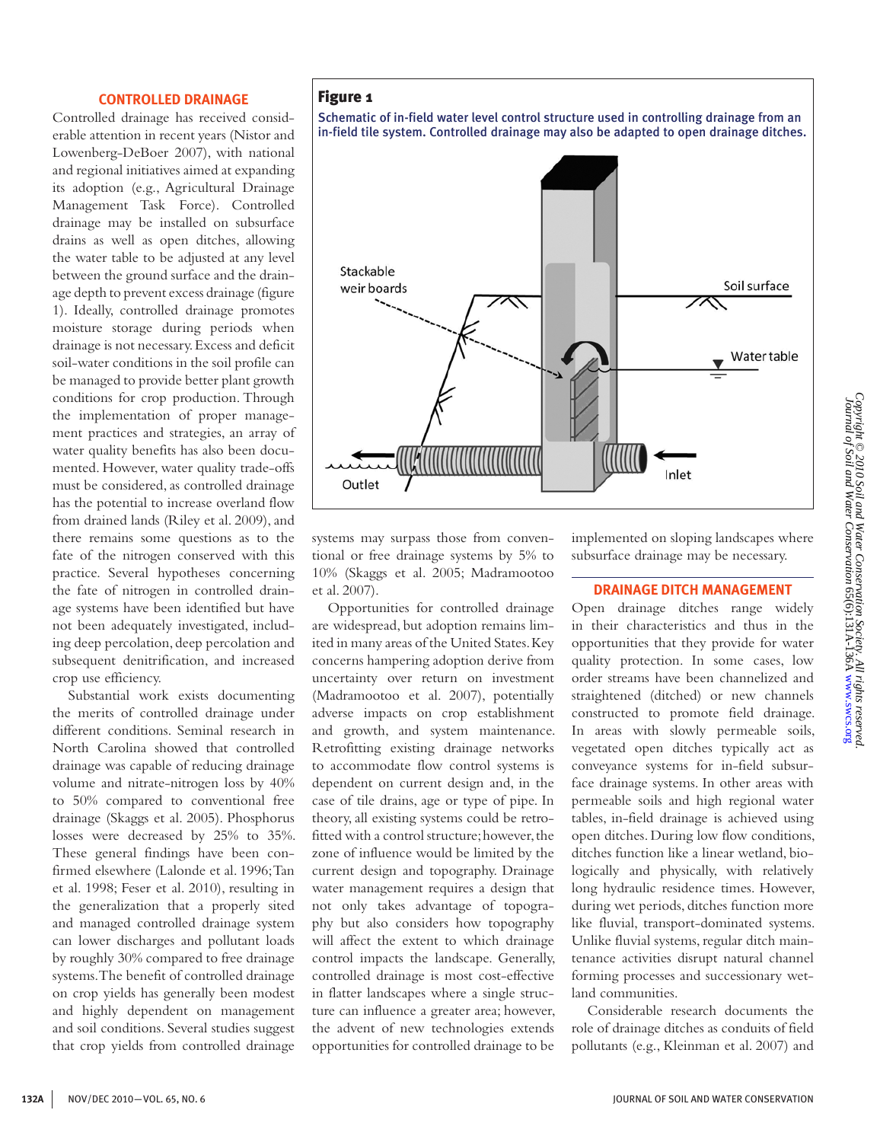## **Controlled drainage**

Controlled drainage has received considerable attention in recent years (Nistor and Lowenberg-DeBoer 2007), with national and regional initiatives aimed at expanding its adoption (e.g., Agricultural Drainage Management Task Force). Controlled drainage may be installed on subsurface drains as well as open ditches, allowing the water table to be adjusted at any level between the ground surface and the drainage depth to prevent excess drainage (figure 1). Ideally, controlled drainage promotes moisture storage during periods when drainage is not necessary. Excess and deficit soil-water conditions in the soil profile can be managed to provide better plant growth conditions for crop production. Through the implementation of proper management practices and strategies, an array of water quality benefits has also been documented. However, water quality trade-offs must be considered, as controlled drainage has the potential to increase overland flow from drained lands (Riley et al. 2009), and there remains some questions as to the fate of the nitrogen conserved with this practice. Several hypotheses concerning the fate of nitrogen in controlled drainage systems have been identified but have not been adequately investigated, including deep percolation, deep percolation and subsequent denitrification, and increased crop use efficiency.

Substantial work exists documenting the merits of controlled drainage under different conditions. Seminal research in North Carolina showed that controlled drainage was capable of reducing drainage volume and nitrate-nitrogen loss by 40% to 50% compared to conventional free drainage (Skaggs et al. 2005). Phosphorus losses were decreased by 25% to 35%. These general findings have been confirmed elsewhere (Lalonde et al. 1996; Tan et al. 1998; Feser et al. 2010), resulting in the generalization that a properly sited and managed controlled drainage system can lower discharges and pollutant loads by roughly 30% compared to free drainage systems. The benefit of controlled drainage on crop yields has generally been modest and highly dependent on management and soil conditions. Several studies suggest that crop yields from controlled drainage



systems may surpass those from conventional or free drainage systems by 5% to 10% (Skaggs et al. 2005; Madramootoo et al. 2007).

Opportunities for controlled drainage are widespread, but adoption remains limited in many areas of the United States. Key concerns hampering adoption derive from uncertainty over return on investment (Madramootoo et al. 2007), potentially adverse impacts on crop establishment and growth, and system maintenance. Retrofitting existing drainage networks to accommodate flow control systems is dependent on current design and, in the case of tile drains, age or type of pipe. In theory, all existing systems could be retrofitted with a control structure; however, the zone of influence would be limited by the current design and topography. Drainage water management requires a design that not only takes advantage of topography but also considers how topography will affect the extent to which drainage control impacts the landscape. Generally, controlled drainage is most cost-effective in flatter landscapes where a single structure can influence a greater area; however, the advent of new technologies extends opportunities for controlled drainage to be

implemented on sloping landscapes where subsurface drainage may be necessary.

## **Drainage ditch management**

Open drainage ditches range widely in their characteristics and thus in the opportunities that they provide for water quality protection. In some cases, low order streams have been channelized and straightened (ditched) or new channels constructed to promote field drainage. In areas with slowly permeable soils, vegetated open ditches typically act as conveyance systems for in-field subsurface drainage systems. In other areas with permeable soils and high regional water tables, in-field drainage is achieved using open ditches. During low flow conditions, ditches function like a linear wetland, biologically and physically, with relatively long hydraulic residence times. However, during wet periods, ditches function more like fluvial, transport-dominated systems. Unlike fluvial systems, regular ditch maintenance activities disrupt natural channel forming processes and successionary wetland communities.

Considerable research documents the role of drainage ditches as conduits of field pollutants (e.g., Kleinman et al. 2007) and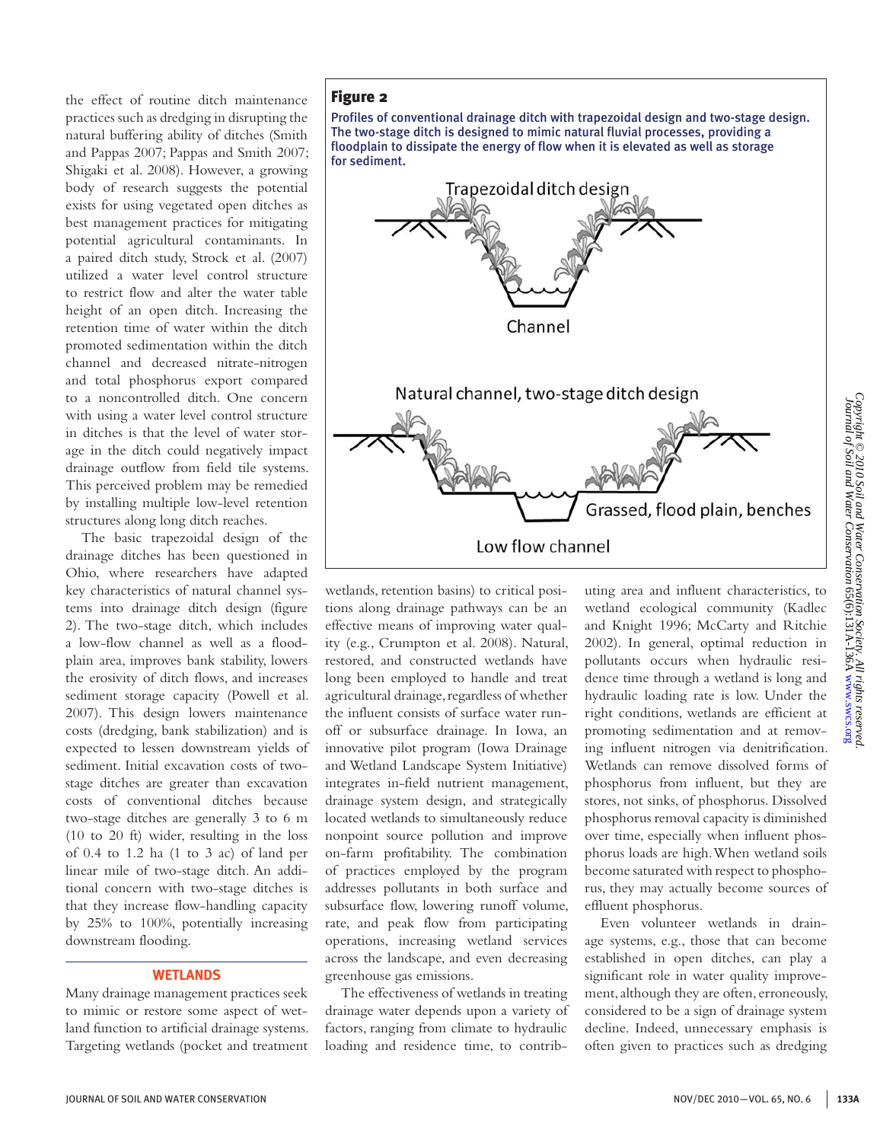the effect of routine ditch maintenance practices such as dredging in disrupting the natural buffering ability of ditches (Smith and Pappas 2007; Pappas and Smith 2007; Shigaki et al. 2008). However, a growing body of research suggests the potential exists for using vegetated open ditches as best management practices for mitigating potential agricultural contaminants. In a paired ditch study, Strock et al. (2007) utilized a water level control structure to restrict flow and alter the water table height of an open ditch. Increasing the retention time of water within the ditch promoted sedimentation within the ditch channel and decreased nitrate-nitrogen and total phosphorus export compared to a noncontrolled ditch. One concern with using a water level control structure in ditches is that the level of water storage in the ditch could negatively impact drainage outflow from field tile systems. This perceived problem may be remedied by installing multiple low-level retention structures along long ditch reaches.

The basic trapezoidal design of the drainage ditches has been questioned in Ohio, where researchers have adapted key characteristics of natural channel systems into drainage ditch design (figure 2). The two-stage ditch, which includes a low-flow channel as well as a floodplain area, improves bank stability, lowers the erosivity of ditch flows, and increases sediment storage capacity (Powell et al. 2007). This design lowers maintenance costs (dredging, bank stabilization) and is expected to lessen downstream yields of sediment. Initial excavation costs of twostage ditches are greater than excavation costs of conventional ditches because two-stage ditches are generally 3 to 6 m (10 to 20 ft) wider, resulting in the loss of 0.4 to 1.2 ha (1 to 3 ac) of land per linear mile of two-stage ditch. An additional concern with two-stage ditches is that they increase flow-handling capacity by 25% to 100%, potentially increasing downstream flooding.

## **Wetlands**

Many drainage management practices seek to mimic or restore some aspect of wetland function to artificial drainage systems. Targeting wetlands (pocket and treatment

## Figure 2





wetlands, retention basins) to critical positions along drainage pathways can be an effective means of improving water quality (e.g., Crumpton et al. 2008). Natural, restored, and constructed wetlands have long been employed to handle and treat agricultural drainage, regardless of whether the influent consists of surface water runoff or subsurface drainage. In Iowa, an innovative pilot program (Iowa Drainage and Wetland Landscape System Initiative) integrates in-field nutrient management, drainage system design, and strategically located wetlands to simultaneously reduce nonpoint source pollution and improve on-farm profitability. The combination of practices employed by the program addresses pollutants in both surface and subsurface flow, lowering runoff volume, rate, and peak flow from participating operations, increasing wetland services across the landscape, and even decreasing greenhouse gas emissions.

The effectiveness of wetlands in treating drainage water depends upon a variety of factors, ranging from climate to hydraulic loading and residence time, to contributing area and influent characteristics, to wetland ecological community (Kadlec and Knight 1996; McCarty and Ritchie 2002). In general, optimal reduction in pollutants occurs when hydraulic residence time through a wetland is long and hydraulic loading rate is low. Under the right conditions, wetlands are efficient at promoting sedimentation and at removing influent nitrogen via denitrification. Wetlands can remove dissolved forms of phosphorus from influent, but they are stores, not sinks, of phosphorus. Dissolved phosphorus removal capacity is diminished over time, especially when influent phosphorus loads are high. When wetland soils become saturated with respect to phosphorus, they may actually become sources of effluent phosphorus.

Even volunteer wetlands in drainage systems, e.g., those that can become established in open ditches, can play a significant role in water quality improvement, although they are often, erroneously, considered to be a sign of drainage system decline. Indeed, unnecessary emphasis is often given to practices such as dredging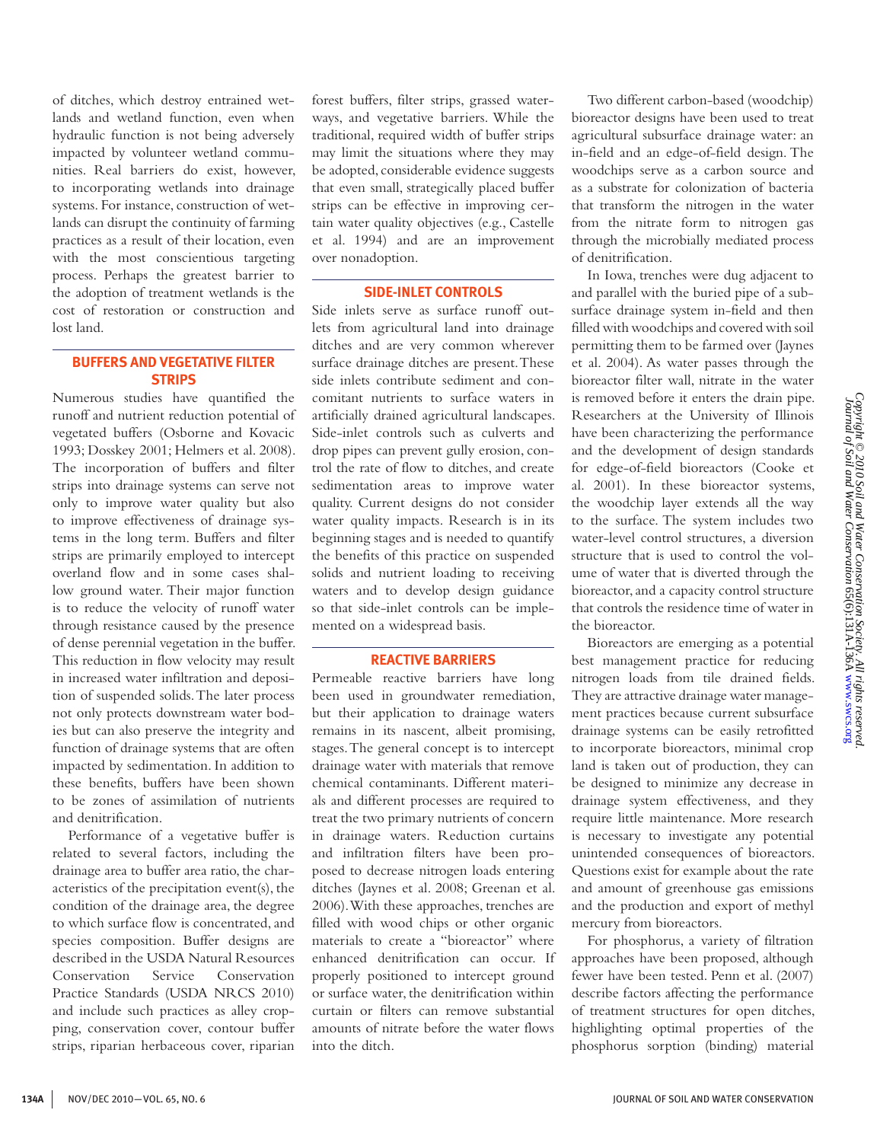of ditches, which destroy entrained wetlands and wetland function, even when hydraulic function is not being adversely impacted by volunteer wetland communities. Real barriers do exist, however, to incorporating wetlands into drainage systems. For instance, construction of wetlands can disrupt the continuity of farming practices as a result of their location, even with the most conscientious targeting process. Perhaps the greatest barrier to the adoption of treatment wetlands is the cost of restoration or construction and lost land.

## **Buffers and vegetative filter strips**

Numerous studies have quantified the runoff and nutrient reduction potential of vegetated buffers (Osborne and Kovacic 1993; Dosskey 2001; Helmers et al. 2008). The incorporation of buffers and filter strips into drainage systems can serve not only to improve water quality but also to improve effectiveness of drainage systems in the long term. Buffers and filter strips are primarily employed to intercept overland flow and in some cases shallow ground water. Their major function is to reduce the velocity of runoff water through resistance caused by the presence of dense perennial vegetation in the buffer. This reduction in flow velocity may result in increased water infiltration and deposition of suspended solids. The later process not only protects downstream water bodies but can also preserve the integrity and function of drainage systems that are often impacted by sedimentation. In addition to these benefits, buffers have been shown to be zones of assimilation of nutrients and denitrification.

Performance of a vegetative buffer is related to several factors, including the drainage area to buffer area ratio, the characteristics of the precipitation event(s), the condition of the drainage area, the degree to which surface flow is concentrated, and species composition. Buffer designs are described in the USDA Natural Resources Conservation Service Conservation Practice Standards (USDA NRCS 2010) and include such practices as alley cropping, conservation cover, contour buffer strips, riparian herbaceous cover, riparian

forest buffers, filter strips, grassed waterways, and vegetative barriers. While the traditional, required width of buffer strips may limit the situations where they may be adopted, considerable evidence suggests that even small, strategically placed buffer strips can be effective in improving certain water quality objectives (e.g., Castelle et al. 1994) and are an improvement over nonadoption.

## **Side-inlet controls**

Side inlets serve as surface runoff outlets from agricultural land into drainage ditches and are very common wherever surface drainage ditches are present. These side inlets contribute sediment and concomitant nutrients to surface waters in artificially drained agricultural landscapes. Side-inlet controls such as culverts and drop pipes can prevent gully erosion, control the rate of flow to ditches, and create sedimentation areas to improve water quality. Current designs do not consider water quality impacts. Research is in its beginning stages and is needed to quantify the benefits of this practice on suspended solids and nutrient loading to receiving waters and to develop design guidance so that side-inlet controls can be implemented on a widespread basis.

## **Reactive barriers**

Permeable reactive barriers have long been used in groundwater remediation, but their application to drainage waters remains in its nascent, albeit promising, stages. The general concept is to intercept drainage water with materials that remove chemical contaminants. Different materials and different processes are required to treat the two primary nutrients of concern in drainage waters. Reduction curtains and infiltration filters have been proposed to decrease nitrogen loads entering ditches (Jaynes et al. 2008; Greenan et al. 2006). With these approaches, trenches are filled with wood chips or other organic materials to create a "bioreactor" where enhanced denitrification can occur. If properly positioned to intercept ground or surface water, the denitrification within curtain or filters can remove substantial amounts of nitrate before the water flows into the ditch.

Two different carbon-based (woodchip) bioreactor designs have been used to treat agricultural subsurface drainage water: an in-field and an edge-of-field design. The woodchips serve as a carbon source and as a substrate for colonization of bacteria that transform the nitrogen in the water from the nitrate form to nitrogen gas through the microbially mediated process of denitrification.

In Iowa, trenches were dug adjacent to and parallel with the buried pipe of a subsurface drainage system in-field and then filled with woodchips and covered with soil permitting them to be farmed over (Jaynes et al. 2004). As water passes through the bioreactor filter wall, nitrate in the water is removed before it enters the drain pipe. Researchers at the University of Illinois have been characterizing the performance and the development of design standards for edge-of-field bioreactors (Cooke et al. 2001). In these bioreactor systems, the woodchip layer extends all the way to the surface. The system includes two water-level control structures, a diversion structure that is used to control the volume of water that is diverted through the bioreactor, and a capacity control structure that controls the residence time of water in the bioreactor.

Bioreactors are emerging as a potential best management practice for reducing nitrogen loads from tile drained fields. They are attractive drainage water management practices because current subsurface drainage systems can be easily retrofitted to incorporate bioreactors, minimal crop land is taken out of production, they can be designed to minimize any decrease in drainage system effectiveness, and they require little maintenance. More research is necessary to investigate any potential unintended consequences of bioreactors. Questions exist for example about the rate and amount of greenhouse gas emissions and the production and export of methyl mercury from bioreactors.

For phosphorus, a variety of filtration approaches have been proposed, although fewer have been tested. Penn et al. (2007) describe factors affecting the performance of treatment structures for open ditches, highlighting optimal properties of the phosphorus sorption (binding) material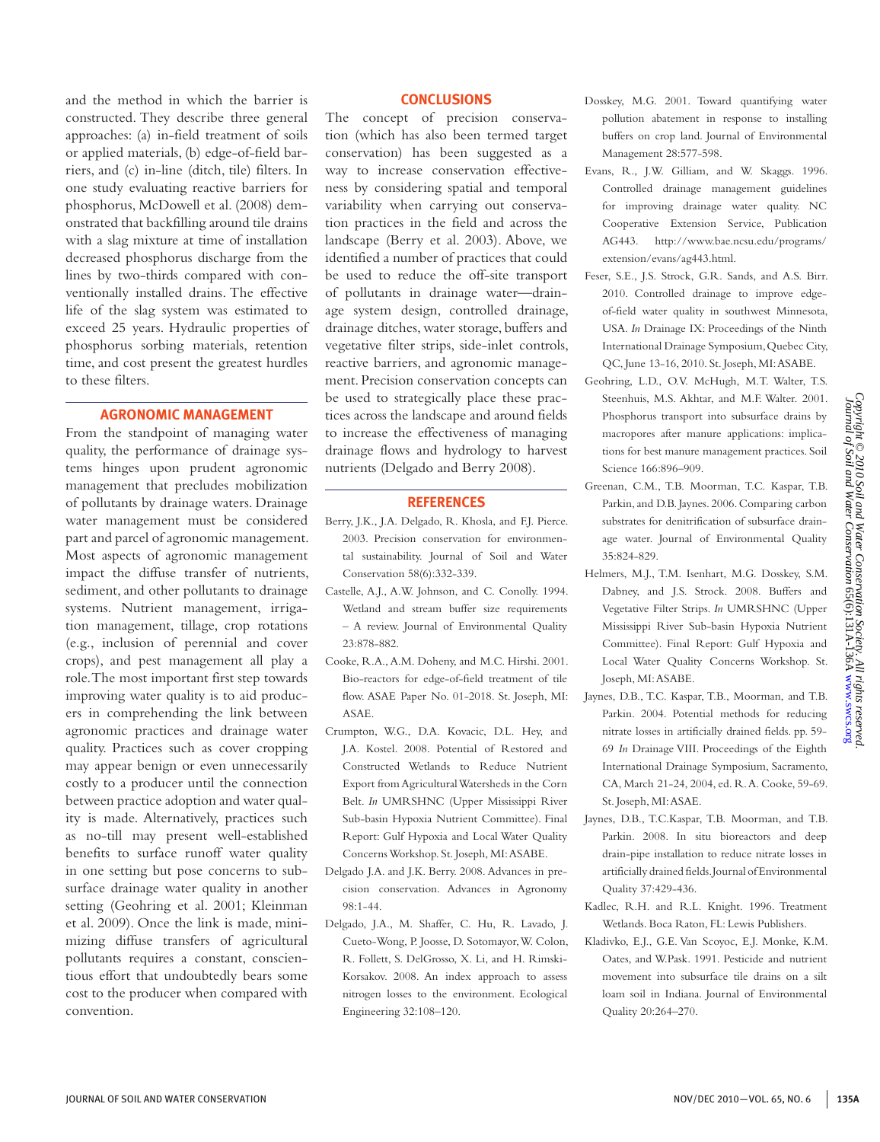and the method in which the barrier is constructed. They describe three general approaches: (a) in-field treatment of soils or applied materials, (b) edge-of-field barriers, and (c) in-line (ditch, tile) filters. In one study evaluating reactive barriers for phosphorus, McDowell et al. (2008) demonstrated that backfilling around tile drains with a slag mixture at time of installation decreased phosphorus discharge from the lines by two-thirds compared with conventionally installed drains. The effective life of the slag system was estimated to exceed 25 years. Hydraulic properties of phosphorus sorbing materials, retention time, and cost present the greatest hurdles to these filters.

## **Agronomic management**

From the standpoint of managing water quality, the performance of drainage systems hinges upon prudent agronomic management that precludes mobilization of pollutants by drainage waters. Drainage water management must be considered part and parcel of agronomic management. Most aspects of agronomic management impact the diffuse transfer of nutrients, sediment, and other pollutants to drainage systems. Nutrient management, irrigation management, tillage, crop rotations (e.g., inclusion of perennial and cover crops), and pest management all play a role. The most important first step towards improving water quality is to aid producers in comprehending the link between agronomic practices and drainage water quality. Practices such as cover cropping may appear benign or even unnecessarily costly to a producer until the connection between practice adoption and water quality is made. Alternatively, practices such as no-till may present well-established benefits to surface runoff water quality in one setting but pose concerns to subsurface drainage water quality in another setting (Geohring et al. 2001; Kleinman et al. 2009). Once the link is made, minimizing diffuse transfers of agricultural pollutants requires a constant, conscientious effort that undoubtedly bears some cost to the producer when compared with convention.

## **Conclusions**

The concept of precision conservation (which has also been termed target conservation) has been suggested as a way to increase conservation effectiveness by considering spatial and temporal variability when carrying out conservation practices in the field and across the landscape (Berry et al. 2003). Above, we identified a number of practices that could be used to reduce the off-site transport of pollutants in drainage water—drainage system design, controlled drainage, drainage ditches, water storage, buffers and vegetative filter strips, side-inlet controls, reactive barriers, and agronomic management. Precision conservation concepts can be used to strategically place these practices across the landscape and around fields to increase the effectiveness of managing drainage flows and hydrology to harvest nutrients (Delgado and Berry 2008).

#### **References**

- Berry, J.K., J.A. Delgado, R. Khosla, and F.J. Pierce. 2003. Precision conservation for environmental sustainability. Journal of Soil and Water Conservation 58(6):332-339.
- Castelle, A.J., A.W. Johnson, and C. Conolly. 1994. Wetland and stream buffer size requirements – A review. Journal of Environmental Quality 23:878-882.
- Cooke, R.A., A.M. Doheny, and M.C. Hirshi. 2001. Bio-reactors for edge-of-field treatment of tile flow. ASAE Paper No. 01-2018. St. Joseph, MI: ASAE.
- Crumpton, W.G., D.A. Kovacic, D.L. Hey, and J.A. Kostel. 2008. Potential of Restored and Constructed Wetlands to Reduce Nutrient Export from Agricultural Watersheds in the Corn Belt. *In* UMRSHNC (Upper Mississippi River Sub-basin Hypoxia Nutrient Committee). Final Report: Gulf Hypoxia and Local Water Quality Concerns Workshop. St. Joseph, MI: ASABE.
- Delgado J.A. and J.K. Berry. 2008. Advances in precision conservation. Advances in Agronomy 98:1-44.
- Delgado, J.A., M. Shaffer, C. Hu, R. Lavado, J. Cueto-Wong, P. Joosse, D. Sotomayor, W. Colon, R. Follett, S. DelGrosso, X. Li, and H. Rimski-Korsakov. 2008. An index approach to assess nitrogen losses to the environment. Ecological Engineering 32:108–120.
- Dosskey, M.G. 2001. Toward quantifying water pollution abatement in response to installing buffers on crop land. Journal of Environmental Management 28:577-598.
- Evans, R., J.W. Gilliam, and W. Skaggs. 1996. Controlled drainage management guidelines for improving drainage water quality. NC Cooperative Extension Service, Publication AG443. http://www.bae.ncsu.edu/programs/ extension/evans/ag443.html.
- Feser, S.E., J.S. Strock, G.R. Sands, and A.S. Birr. 2010. Controlled drainage to improve edgeof-field water quality in southwest Minnesota, USA. *In* Drainage IX: Proceedings of the Ninth International Drainage Symposium, Quebec City, QC, June 13-16, 2010. St. Joseph, MI: ASABE.
- Geohring, L.D., O.V. McHugh, M.T. Walter, T.S. Steenhuis, M.S. Akhtar, and M.F. Walter. 2001. Phosphorus transport into subsurface drains by macropores after manure applications: implications for best manure management practices. Soil Science 166:896–909.
- Greenan, C.M., T.B. Moorman, T.C. Kaspar, T.B. Parkin, and D.B. Jaynes. 2006. Comparing carbon substrates for denitrification of subsurface drainage water. Journal of Environmental Quality 35:824-829.
- Helmers, M.J., T.M. Isenhart, M.G. Dosskey, S.M. Dabney, and J.S. Strock. 2008. Buffers and Vegetative Filter Strips. *In* UMRSHNC (Upper Mississippi River Sub-basin Hypoxia Nutrient Committee). Final Report: Gulf Hypoxia and Local Water Quality Concerns Workshop. St. Joseph, MI: ASABE.
- Jaynes, D.B., T.C. Kaspar, T.B., Moorman, and T.B. Parkin. 2004. Potential methods for reducing nitrate losses in artificially drained fields. pp. 59- 69 *In* Drainage VIII. Proceedings of the Eighth International Drainage Symposium, Sacramento, CA, March 21-24, 2004, ed. R. A. Cooke, 59-69. St. Joseph, MI: ASAE.
- Jaynes, D.B., T.C.Kaspar, T.B. Moorman, and T.B. Parkin. 2008. In situ bioreactors and deep drain-pipe installation to reduce nitrate losses in artificially drained fields. Journal of Environmental Quality 37:429-436.
- Kadlec, R.H. and R.L. Knight. 1996. Treatment Wetlands. Boca Raton, FL: Lewis Publishers.
- Kladivko, E.J., G.E. Van Scoyoc, E.J. Monke, K.M. Oates, and W.Pask. 1991. Pesticide and nutrient movement into subsurface tile drains on a silt loam soil in Indiana. Journal of Environmental Quality 20:264–270.